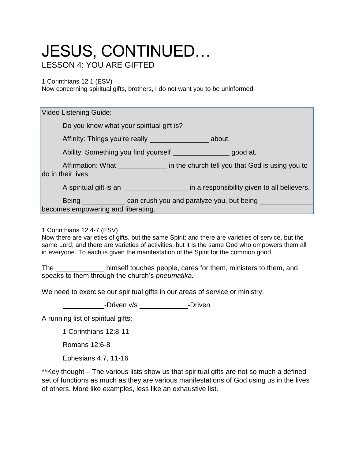## JESUS, CONTINUED… LESSON 4: YOU ARE GIFTED

1 Corinthians 12:1 (ESV)

Now concerning spiritual gifts, brothers, I do not want you to be uninformed.

| <b>Video Listening Guide:</b>                                                           |
|-----------------------------------------------------------------------------------------|
| Do you know what your spiritual gift is?                                                |
| Affinity: Things you're really<br>about.                                                |
| Ability: Something you find yourself<br>good at.                                        |
| Affirmation: What in the church tell you that God is using you to<br>do in their lives. |
|                                                                                         |
| Being _______________ can crush you and paralyze you, but being ______                  |
| becomes empowering and liberating.                                                      |

1 Corinthians 12:4-7 (ESV)

Now there are varieties of gifts, but the same Spirit; and there are varieties of service, but the same Lord; and there are varieties of activities, but it is the same God who empowers them all in everyone. To each is given the manifestation of the Spirit for the common good.

The himself touches people, cares for them, ministers to them, and speaks to them through the church's *pneumatika.*

We need to exercise our spiritual gifts in our areas of service or ministry.

-Driven v/s -Driven

A running list of spiritual gifts:

1 Corinthians 12:8-11

Romans 12:6-8

Ephesians 4:7, 11-16

\*\*Key thought – The various lists show us that spiritual gifts are not so much a defined set of functions as much as they are various manifestations of God using us in the lives of others. More like examples, less like an exhaustive list.